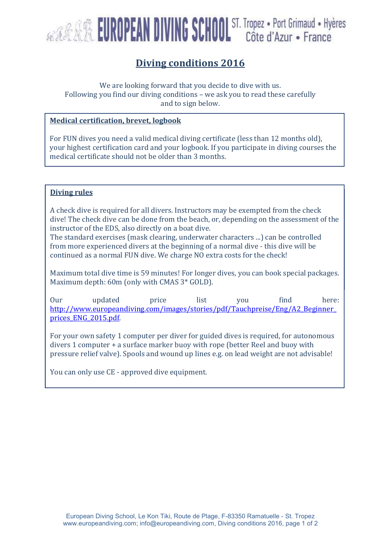

## Diving conditions 2016

We are looking forward that you decide to dive with us. Following you find our diving conditions – we ask you to read these carefully and to sign below.

### Medical certification, brevet, logbook

For FUN dives you need a valid medical diving certificate (less than 12 months old), your highest certification card and your logbook. If you participate in diving courses the medical certificate should not be older than 3 months.

# Diving rules

Please the about the complete the done from the heads on done dive- on the assessment of the dive! The check dive can be done from the beach, or, depending on the assessment of the<br>instructor of the EDS, also divertly on a beat dive A check dive is required for all divers. Instructors may be exempted from the check instructor of the EDS, also directly on a boat dive.

mstructor or the EDS, also un eetty on a boat urve.<br>The standard exercises (mask clearing, underwater characters ...) can be controlled Fire standard exercises (mask clearing, under water characters ...) can be controlled<br>from more experienced divers at the beginning of a normal dive - this dive will be mom more experienced divers at the beginning or a normal dive sins dive win be continued as a normal FUN dive. We charge NO extra costs for the check!

Maximum total dive time is 59 minutes! For longer dives, you can book special packages. maximum total tive time is 33 immates. For longer tives,<br>Maximum depth: 60m (only with CMAS 3\* GOLD).

Our updated price list you find here: http://www.europeandiving.com/images/stories/pdf/Tauchpreise/Eng/A2\_Beginner\_ prices ENG 2015.pdf.

For your own safety 1 computer per diver for guided dives is required, for autonomous divers 1 computer + a surface marker buoy with rope (better Reel and buoy with pressure relief valve). Spools and wound up lines e.g. on lead weight are not advisable!

You can only use CE - approved dive equipment.